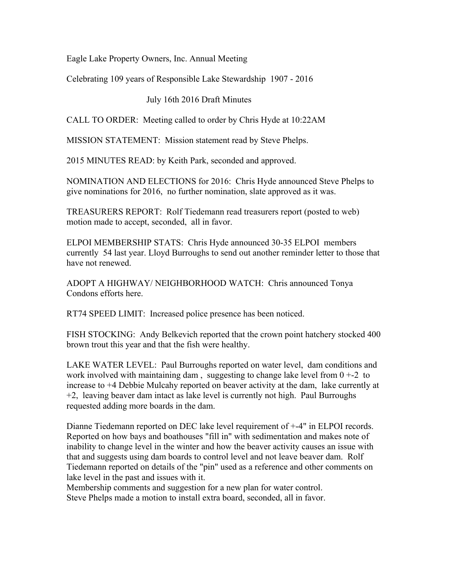Eagle Lake Property Owners, Inc. Annual Meeting

Celebrating 109 years of Responsible Lake Stewardship 1907 - 2016

July 16th 2016 Draft Minutes

CALL TO ORDER: Meeting called to order by Chris Hyde at 10:22AM

MISSION STATEMENT: Mission statement read by Steve Phelps.

2015 MINUTES READ: by Keith Park, seconded and approved.

NOMINATION AND ELECTIONS for 2016: Chris Hyde announced Steve Phelps to give nominations for 2016, no further nomination, slate approved as it was.

TREASURERS REPORT: Rolf Tiedemann read treasurers report (posted to web) motion made to accept, seconded, all in favor.

ELPOI MEMBERSHIP STATS: Chris Hyde announced 30-35 ELPOI members currently 54 last year. Lloyd Burroughs to send out another reminder letter to those that have not renewed.

ADOPT A HIGHWAY/ NEIGHBORHOOD WATCH: Chris announced Tonya Condons efforts here.

RT74 SPEED LIMIT: Increased police presence has been noticed.

FISH STOCKING: Andy Belkevich reported that the crown point hatchery stocked 400 brown trout this year and that the fish were healthy.

LAKE WATER LEVEL: Paul Burroughs reported on water level, dam conditions and work involved with maintaining dam, suggesting to change lake level from  $0 + -2$  to increase to +4 Debbie Mulcahy reported on beaver activity at the dam, lake currently at +2, leaving beaver dam intact as lake level is currently not high. Paul Burroughs requested adding more boards in the dam.

Dianne Tiedemann reported on DEC lake level requirement of +-4" in ELPOI records. Reported on how bays and boathouses "fill in" with sedimentation and makes note of inability to change level in the winter and how the beaver activity causes an issue with that and suggests using dam boards to control level and not leave beaver dam. Rolf Tiedemann reported on details of the "pin" used as a reference and other comments on lake level in the past and issues with it.

Membership comments and suggestion for a new plan for water control. Steve Phelps made a motion to install extra board, seconded, all in favor.